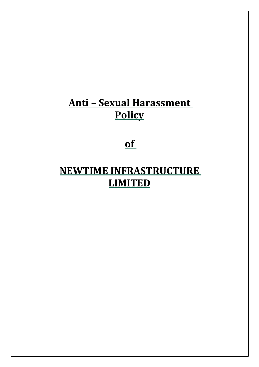# **Anti – Sexual Harassment Policy**

## **of**

# **NEWTIME INFRASTRUCTURE LIMITED**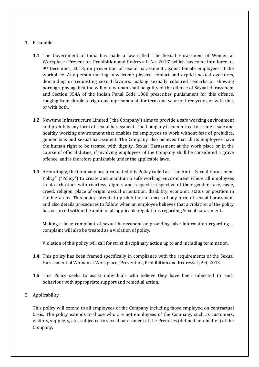### 1. Preamble

- **1.1** The Government of India has made a law called 'The Sexual Harassment of Women at Workplace (Prevention, Prohibition and Redressal) Act 2013" which has come into force on 9th December, 2013; on prevention of sexual harassment against female employees at the workplace. Any person making unwelcome physical contact and explicit sexual overtures, demanding or requesting sexual favours, making sexually coloured remarks or showing pornography against the will of a woman shall be guilty of the offence of Sexual Harassment and Section 354A of the Indian Penal Code 1860 prescribes punishment for this offence, ranging from simple to rigorous imprisonment, for term one year to three years, or with fine, or with both.
- **1.2** Newtime Infrastructure Limited ('the Company') aims to provide a safe working environment and prohibits any form of sexual harassment. The Company is committed to create a safe and healthy working environment that enables its employees to work without fear of prejudice, gender bias and sexual harassment. The Company also believes that all its employees have the human right to be treated with dignity. Sexual Harassment at the work place or in the course of official duties, if involving employees of the Company shall be considered a grave offence, and is therefore punishable under the applicable laws.
- **1.3** Accordingly, the Company has formulated this Policy called as "The Anti Sexual Harassment Policy" ("Policy") to create and maintain a safe working environment where all employees treat each other with courtesy, dignity and respect irrespective of their gender, race, caste, creed, religion, place of origin, sexual orientation, disability, economic status or position in the hierarchy. This policy intends to prohibit occurrences of any form of sexual harassment and also details procedures to follow when an employee believes that a violation of the policy has occurred within the ambit of all applicable regulations regarding Sexual harassment..

Making a false compliant of sexual harassment or providing false information regarding a complaint will also be treated as a violation of policy.

Violation of this policy will call for strict disciplinary action up to and including termination.

- **1.4** This policy has been framed specifically in compliance with the requirements of the Sexual Harassment of Women at Workplace (Prevention, Prohibition and Redressal) Act, 2013.
- **1.5** This Policy seeks to assist individuals who believe they have been subjected to such behaviour with appropriate support and remedial action.
- 2. Applicability

This policy will extend to all employees of the Company including those employed on contractual basis. The policy extends to those who are not employees of the Company, such as customers, visitors, suppliers, etc., subjected to sexual harassment at the Premises (defined hereinafter) of the Company.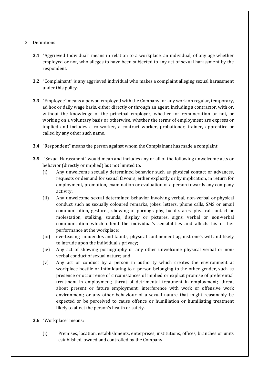## 3. Definitions

- **3.1** "Aggrieved Individual" means in relation to a workplace, an individual, of any age whether employed or not, who alleges to have been subjected to any act of sexual harassment by the respondent.
- **3.2** "Complainant" is any aggrieved individual who makes a complaint alleging sexual harassment under this policy.
- **3.3** "Employee" means a person employed with the Company for any work on regular, temporary, ad hoc or daily wage basis, either directly or through an agent, including a contractor, with or, without the knowledge of the principal employer, whether for remuneration or not, or working on a voluntary basis or otherwise, whether the terms of employment are express or implied and includes a co-worker, a contract worker, probationer, trainee, apprentice or called by any other such name.
- **3.4** "Respondent" means the person against whom the Complainant has made a complaint.
- **3.5** "Sexual Harassment" would mean and includes any or all of the following unwelcome acts or behavior (directly or implied) but not limited to:
	- (i) Any unwelcome sexually determined behavior such as physical contact or advances, requests or demand for sexual favours, either explicitly or by implication, in return for employment, promotion, examination or evaluation of a person towards any company activity;
	- (ii) Any unwelcome sexual determined behavior involving verbal, non-verbal or physical conduct such as sexually coloured remarks, jokes, letters, phone calls, SMS or email communication, gestures, showing of pornography, lucid stares, physical contact or molestation, stalking, sounds, display or pictures, signs, verbal or non-verbal communication which offend the individual's sensibilities and affects his or her performance at the workplace;
	- (iii) eve-teasing, innuendos and taunts, physical confinement against one's will and likely to intrude upon the individual's privacy;
	- (iv) Any act of showing pornography or any other unwelcome physical verbal or nonverbal conduct of sexual nature; and
	- (v) Any act or conduct by a person in authority which creates the environment at workplace hostile or intimidating to a person belonging to the other gender, such as presence or occurrence of circumstances of implied or explicit promise of preferential treatment in employment; threat of detrimental treatment in employment; threat about present or future employment; interference with work or offensive work environment; or any other behaviour of a sexual nature that might reasonably be expected or be perceived to cause offence or humiliation or humiliating treatment likely to affect the person's health or safety.
- **3.6** "Workplace" means:
	- (i) Premises, location, establishments, enterprises, institutions, offices, branches or units established, owned and controlled by the Company.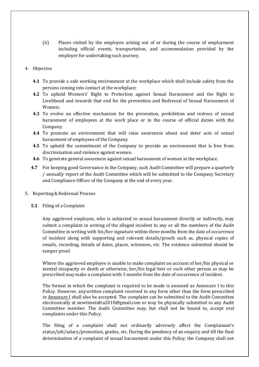(ii) Places visited by the employee arising out of or during the course of employment including official events, transportation, and accommodation provided by the employer for undertaking such journey.

## 4. Objective

- **4.1** To provide a safe working environment at the workplace which shall include safety from the persons coming into contact at the workplace;
- **4.2** To uphold Women's' Right to Protection against Sexual Harassment and the Right to Livelihood and towards that end for the prevention and Redressal of Sexual Harassment of Women;
- **4.3** To evolve an effective mechanism for the prevention, prohibition and redress of sexual harassment of employees at the work place or in the course of official duties with the Company.
- **4.4** To promote an environment that will raise awareness about and deter acts of sexual harassment of employees of the Company.
- **4.5** To uphold the commitment of the Company to provide an environment that is free from discrimination and violence against women.
- **4.6** To generate general awareness against sexual harassment of women at the workplace.
- **4.7** For keeping good Governance in the Company, such Audit Committee will prepare a quarterly / annually report of the Audit Committee which will be submitted to the Company Secretary and Compliance Officer of the Company at the end of every year.
- 5. Reporting & Redressal Process
	- **5.1** Filing of a Complaint

Any aggrieved employee, who is subjected to sexual harassment directly or indirectly, may submit a complaint in writing of the alleged incident to any or all the members of the Audit Committee in writing with his/her signature within three months from the date of occurrence of incident along with supporting and relevant details/proofs such as, physical copies of emails, recording, details of dates, places, witnesses, etc. The evidence submitted should be tamper proof.

Where the aggrieved employee is unable to make complaint on account of her/his physical or mental incapacity or death or otherwise, her/his legal heir or such other person as may be prescribed may make a complaint with 3 months from the date of occurrence of incident.

The format in which the complaint is required to be made is annexed as Annexure I to this Policy. However, anywritten complaint received in any form other than the form prescribed in Annexure I shall also be accepted. The complaint can be submitted to the Audit Committee electronically at [newtimeinfra2010@gmail.com](mailto:newtimeinfra2010@gmail.com) or may be physically submitted to any Audit Committee member. The Audit Committee may, but shall not be bound to, accept oral complaints under this Policy.

The filing of a complaint shall not ordinarily adversely affect the Complainant's status/job/salary/promotion, grades, etc. During the pendency of an enquiry and till the final determination of a complaint of sexual harassment under this Policy, the Company shall not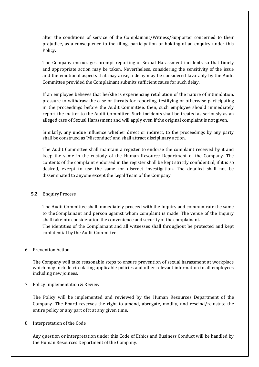alter the conditions of service of the Complainant/Witness/Supporter concerned to their prejudice, as a consequence to the filing, participation or holding of an enquiry under this Policy.

The Company encourages prompt reporting of Sexual Harassment incidents so that timely and appropriate action may be taken. Nevertheless, considering the sensitivity of the issue and the emotional aspects that may arise, a delay may be considered favorably by the Audit Committee provided the Complainant submits sufficient cause for such delay.

If an employee believes that he/she is experiencing retaliation of the nature of intimidation, pressure to withdraw the case or threats for reporting, testifying or otherwise participating in the proceedings before the Audit Committee, then, such employee should immediately report the matter to the Audit Committee. Such incidents shall be treated as seriously as an alleged case of Sexual Harassment and will apply even if the original complaint is not given.

Similarly, any undue influence whether direct or indirect, to the proceedings by any party shall be construed as 'Misconduct' and shall attract disciplinary action.

The Audit Committee shall maintain a register to endorse the complaint received by it and keep the same in the custody of the Human Resource Department of the Company. The contents of the complaint endorsed in the register shall be kept strictly confidential, if it is so desired, except to use the same for discreet investigation. The detailed shall not be disseminated to anyone except the Legal Team of the Company.

#### **5.2** Enquiry Process

The Audit Committee shall immediately proceed with the Inquiry and communicate the same to the Complainant and person against whom complaint is made. The venue of the Inquiry shall takeinto consideration the convenience and security of the complainant.

The identities of the Complainant and all witnesses shall throughout be protected and kept confidential by the Audit Committee.

## 6. Prevention Action

The Company will take reasonable steps to ensure prevention of sexual harassment at workplace which may include circulating applicable policies and other relevant information to all employees including new joinees.

7. Policy Implementation & Review

The Policy will be implemented and reviewed by the Human Resources Department of the Company. The Board reserves the right to amend, abrogate, modify, and rescind/reinstate the entire policy or any part of it at any given time.

#### 8. Interpretation of the Code

Any question or interpretation under this Code of Ethics and Business Conduct will be handled by the Human Resources Department of the Company.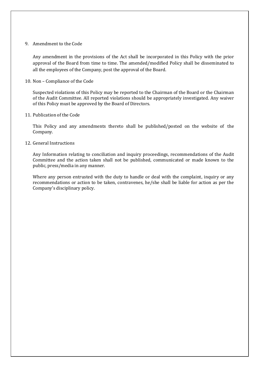#### 9. Amendment to the Code

Any amendment in the provisions of the Act shall be incorporated in this Policy with the prior approval of the Board from time to time. The amended/modified Policy shall be disseminated to all the employees of the Company, post the approval of the Board.

#### 10. Non – Compliance of the Code

Suspected violations of this Policy may be reported to the Chairman of the Board or the Chairman of the Audit Committee. All reported violations should be appropriately investigated. Any waiver of this Policy must be approved by the Board of Directors.

#### 11. Publication of the Code

This Policy and any amendments thereto shall be published/posted on the website of the Company.

#### 12. General Instructions

Any Information relating to conciliation and inquiry proceedings, recommendations of the Audit Committee and the action taken shall not be published, communicated or made known to the public, press/media in any manner.

Where any person entrusted with the duty to handle or deal with the complaint, inquiry or any recommendations or action to be taken, contravenes, he/she shall be liable for action as per the Company's disciplinary policy.